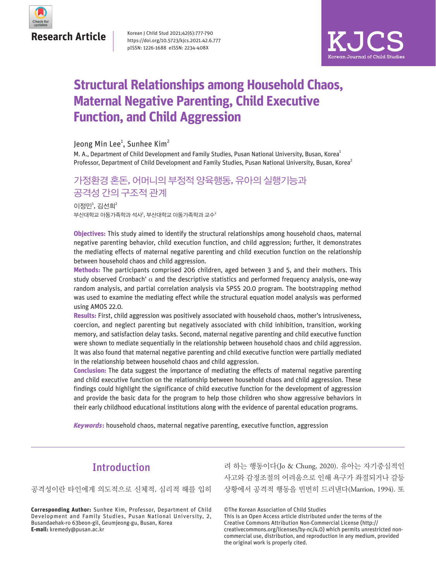

Korean J Child Stud 2021;42(6):777-790 https://doi.org/10.5723/kjcs.2021.42.6.777 pISSN: 1226-1688 eISSN: 2234-408X



# **Structural Relationships among Household Chaos, Maternal Negative Parenting, Child Executive Function, and Child Aggression**

### Jeong Min Lee $^1$ , Sunhee Kim $^2$

M. A., Department of Child Development and Family Studies, Pusan National University, Busan, Korea<sup>1</sup> Professor, Department of Child Development and Family Studies, Pusan National University, Busan, Korea<sup>2</sup>

# 가정환경 혼돈, 어머니의 부정적 양육행동, 유아의 실행기능과 공격성 간의 구조적 관계

부산대학교 아동가족학과 석사<sup>1</sup>, 부산대학교 아동가족학과 교수 $^2$  $0$  정민 $1$ , 김선희 $2$ 

**Objectives:** This study aimed to identify the structural relationships among household chaos, maternal negative parenting behavior, child execution function, and child aggression; further, it demonstrates the mediating effects of maternal negative parenting and child execution function on the relationship between household chaos and child aggression.

**Methods:** The participants comprised 206 children, aged between 3 and 5, and their mothers. This study observed Cronbach'  $\alpha$  and the descriptive statistics and performed frequency analysis, one-way random analysis, and partial correlation analysis via SPSS 20.0 program. The bootstrapping method was used to examine the mediating effect while the structural equation model analysis was performed using AMOS 22.0.

**Results:** First, child aggression was positively associated with household chaos, mother's intrusiveness, coercion, and neglect parenting but negatively associated with child inhibition, transition, working memory, and satisfaction delay tasks. Second, maternal negative parenting and child executive function were shown to mediate sequentially in the relationship between household chaos and child aggression. It was also found that maternal negative parenting and child executive function were partially mediated in the relationship between household chaos and child aggression.

**Conclusion:** The data suggest the importance of mediating the effects of maternal negative parenting and child executive function on the relationship between household chaos and child aggression. These findings could highlight the significance of child executive function for the development of aggression and provide the basic data for the program to help those children who show aggressive behaviors in their early childhood educational institutions along with the evidence of parental education programs.

**Keywords:** household chaos, maternal negative parenting, executive function, aggression

# **Introduction**

공격성이란 타인에게 의도적으로 신체적, 심리적 해를 입히

**Corresponding Author:** Sunhee Kim, Professor, Department of Child Development and Family Studies, Pusan National University, 2, Busandaehak-ro 63beon-gil, Geumjeong-gu, Busan, Korea **E-mail:** kremedy@pusan.ac.kr

려 하는 행동이다(Jo & Chung, 2020). 유아는 자기중심적인 사고와 감정조절의 어려움으로 인해 욕구가 좌절되거나 갈등 상황에서 공격적 행동을 빈번히 드러낸다(Marrion, 1994). 또

©The Korean Association of Child Studies

This is an Open Access article distributed under the terms of the Creative Commons Attribution Non-Commercial License (http:// creativecommons.org/licenses/by-nc/4.0) which permits unrestricted noncommercial use, distribution, and reproduction in any medium, provided the original work is properly cited.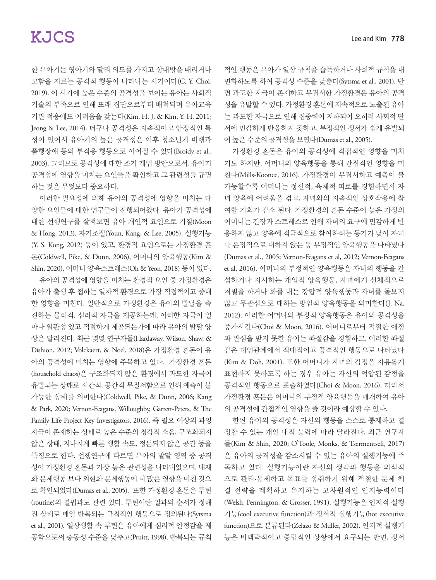한 유아기는 영아기와 달리 의도를 가지고 상대방을 때리거나 고함을 지르는 공격적 행동이 나타나는 시기이다(C. Y. Choi, 2019). 이 시기에 높은 수준의 공격성을 보이는 유아는 사회적 기술의 부족으로 인해 또래 집단으로부터 배척되며 유아교육 기관 적응에도 어려움을 갖는다(Kim, H. J, & Kim, Y. H. 2011; Jeong & Lee, 2014). 더구나 공격성은 지속적이고 안정적인 특 성이 있어서 유아기의 높은 공격성은 이후 청소년기 비행과 품행장애 등의 부적응 행동으로 이어질 수 있다(Broidy et al., 2003). 그러므로 공격성에 대한 조기 개입 방안으로서, 유아기 공격성에 영향을 미치는 요인들을 확인하고 그 관련성을 규명 하는 것은 무엇보다 중요하다.

이러한 필요성에 의해 유아의 공격성에 영향을 미치는 다 양한 요인들에 대한 연구들이 진행되어왔다. 유아기 공격성에 대한 선행연구를 살펴보면 유아 개인적 요인으로 기질(Moon & Hong, 2013), 자기조절(Youn, Kang, & Lee, 2005), 실행기능 (Y. S. Kong, 2012) 등이 있고, 환경적 요인으로는 가정환경 혼 돈(Coldwell, Pike, & Dunn, 2006), 어머니의 양육행동(Kim & Shin, 2020), 어머니 양육스트레스(Oh & Yeon, 2018) 등이 있다.

유아의 공격성에 영향을 미치는 환경적 요인 중 가정환경은 유아가 출생 후 접하는 일차적 환경으로 가장 직접적이고 중대 한 영향을 미친다. 일반적으로 가정환경은 유아의 발달을 촉 진하는 물리적, 심리적 자극을 제공하는데, 이러한 자극이 얼 마나 일관성 있고 적절하게 제공되는가에 따라 유아의 발달 양 상은 달라진다. 최근 몇몇 연구자들(Hardaway, Wilson, Shaw, & Dishion, 2012; Volckaert, & Noel, 2018)은 가정환경 혼돈이 유 아의 공격성에 미치는 영향에 주목하고 있다. 가정환경 혼돈 (household chaos)은 구조화되지 않은 환경에서 과도한 자극이 유발되는 상태로 시간적, 공간적 무질서함으로 인해 예측이 불 가능한 상태를 의미한다(Coldwell, Pike, & Dunn, 2006; Kang & Park, 2020; Vernon-Feagans, Willoughby, Garrett-Peters, & The Family Life Project Key Investigators, 2016). 즉 필요 이상의 과잉 자극이 존재하는 상태로 높은 수준의 청각적 소음, 구조화되지 않은 상태, 지나치게 빠른 생활 속도, 정돈되지 않은 공간 등을 특징으로 한다. 선행연구에 따르면 유아의 발달 영역 중 공격 성이 가정환경 혼돈과 가장 높은 관련성을 나타내었으며, 내재 화 문제행동 보다 외현화 문제행동에 더 많은 영향을 미친 것으 로 확인되었다(Dumas et al., 2005). 또한 가정환경 혼돈은 루틴 (routine)의 결핍과도 관련 있다. 루틴이란 일과의 순서가 정해 진 상태로 매일 반복되는 규칙적인 행동으로 정의된다(Sytsma et al., 2001). 일상생활 속 루틴은 유아에게 심리적 안정감을 제 공함으로써 충동성 수준을 낮추고(Pruitt, 1998), 반복되는 규칙

적인 행동은 유아가 일상 규칙을 습득하거나 사회적 규칙을 내 면화하도록 하여 공격성 수준을 낮춘다(Sytsma et al., 2001). 반 면 과도한 자극이 존재하고 무질서한 가정환경은 유아의 공격 성을 유발할 수 있다. 가정환경 혼돈에 지속적으로 노출된 유아 는 과도한 자극으로 인해 집중력이 저하되어 오히려 사회적 단 서에 민감하게 반응하지 못하고, 부정적인 정서가 쉽게 유발되 어 높은 수준의 공격성을 보였다(Dumas et al., 2005).

가정환경 혼돈은 유아의 공격성에 직접적인 영향을 미치 기도 하지만, 어머니의 양육행동을 통해 간접적인 영향을 미 친다(Mills-Koonce, 2016). 가정환경이 무질서하고 예측이 불 가능할수록 어머니는 정신적, 육체적 피로를 경험하면서 자 녀 양육에 어려움을 겪고, 자녀와의 지속적인 상호작용에 참 여할 기회가 감소 된다. 가정환경의 혼돈 수준이 높은 가정의 어머니는 긴장과 스트레스로 인해 자녀의 요구에 민감하게 반 응하지 않고 양육에 적극적으로 참여하려는 동기가 낮아 자녀 를 온정적으로 대하지 않는 등 부정적인 양육행동을 나타냈다 (Dumas et al., 2005; Vernon-Feagans et al, 2012; Vernon-Feagans et al, 2016). 어머니의 부정적인 양육행동은 자녀의 행동을 간 섭하거나 지시하는 개입적 양육행동, 자녀에게 신체적으로 처벌을 하거나 화를 내는 강압적 양육행동과 자녀를 돌보지 않고 무관심으로 대하는 방임적 양육행동을 의미한다(J. Na, 2012). 이러한 어머니의 부정적 양육행동은 유아의 공격성을 증가시킨다(Choi & Moon, 2016). 어머니로부터 적절한 애정 과 관심을 받지 못한 유아는 좌절감을 경험하고, 이러한 좌절 감은 대인관계에서 적대적이고 공격적인 행동으로 나타났다 (Kim & Doh, 2001). 또한 어머니가 자녀의 감정을 자유롭게 표현하지 못하도록 하는 경우 유아는 자신의 억압된 감정을 공격적인 행동으로 표출하였다(Choi & Moon, 2016). 따라서 가정환경 혼돈은 어머니의 부정적 양육행동을 매개하여 유아 의 공격성에 간접적인 영향을 줄 것이라 예상할 수 있다.

한편 유아의 공격성은 자신의 행동을 스스로 통제하고 결 정할 수 있는 개인 내적 능력에 따라 달라진다. 최근 연구자 들(Kim & Shin, 2020; O'Toole, Monks, & Tsermentseli, 2017) 은 유아의 공격성을 감소시킬 수 있는 유아의 실행기능에 주 목하고 있다. 실행기능이란 자신의 생각과 행동을 의식적 으로 관리·통제하고 목표를 성취하기 위해 적절한 문제 해 결 전략을 계획하고 유지하는 고차원적인 인지능력이다 (Welsh, Pennington, & Grosser, 1991). 실행기능은 인지적 실행 기능(cool executive function)과 정서적 실행기능(hot executive function)으로 분류된다(Zelazo & Muller, 2002). 인지적 실행기 능은 비맥락적이고 중립적인 상황에서 요구되는 반면, 정서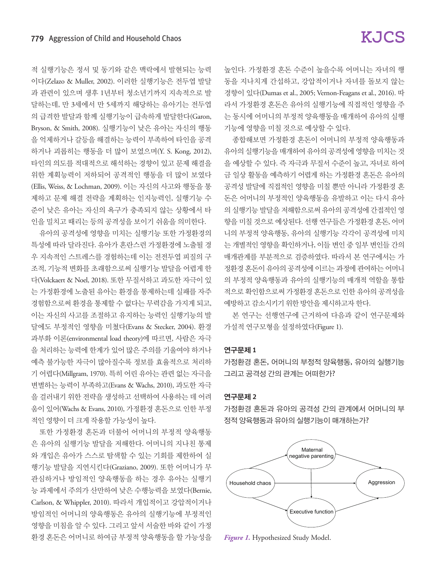적 실행기능은 정서 및 동기와 같은 맥락에서 발현되는 능력 이다(Zelazo & Muller, 2002). 이러한 실행기능은 전두엽 발달 과 관련이 있으며 생후 1년부터 청소년기까지 지속적으로 발 달하는데, 만 3세에서 만 5세까지 해당하는 유아기는 전두엽 의 급격한 발달과 함께 실행기능이 급속하게 발달한다(Garon, Bryson, & Smith, 2008). 실행기능이 낮은 유아는 자신의 행동 을 억제하거나 갈등을 해결하는 능력이 부족하여 타인을 공격 하거나 괴롭히는 행동을 더 많이 보였으며(Y. S. Kong, 2012), 타인의 의도를 적대적으로 해석하는 경향이 있고 문제 해결을 위한 계획능력이 저하되어 공격적인 행동을 더 많이 보였다 (Ellis, Weiss, & Lochman, 2009). 이는 자신의 사고와 행동을 통 제하고 문제 해결 전략을 계획하는 인지능력인, 실행기능 수 준이 낮은 유아는 자신의 욕구가 충족되지 않는 상황에서 타 인을 밀치고 때리는 등의 공격성을 보이기 쉬움을 의미한다.

유아의 공격성에 영향을 미치는 실행기능 또한 가정환경의 특성에 따라 달라진다. 유아가 혼란스런 가정환경에 노출될 경 우 지속적인 스트레스를 경험하는데 이는 전전두엽 피질의 구 조적, 기능적 변화를 초래함으로써 실행기능 발달을 어렵게 한 다(Volckaert & Noel, 2018). 또한 무질서하고 과도한 자극이 있 는 가정환경에 노출된 유아는 환경을 통제하는데 실패를 자주 경험함으로써 환경을 통제할 수 없다는 무력감을 가지게 되고, 이는 자신의 사고를 조절하고 유지하는 능력인 실행기능의 발 달에도 부정적인 영향을 미쳤다(Evans & Stecker, 2004). 환경 과부화 이론(environmental load theory)에 따르면, 사람은 자극 을 처리하는 능력에 한계가 있어 많은 주의를 기울여야 하거나 예측 불가능한 자극이 많아질수록 정보를 효율적으로 처리하 기 어렵다(Millgram, 1970). 특히 어린 유아는 관련 없는 자극을 변별하는 능력이 부족하고(Evans & Wachs, 2010), 과도한 자극 을 걸러내기 위한 전략을 생성하고 선택하여 사용하는 데 어려 움이 있어(Wachs & Evans, 2010), 가정환경 혼돈으로 인한 부정 적인 영향이 더 크게 작용할 가능성이 높다.

또한 가정환경 혼돈과 더불어 어머니의 부정적 양육행동 은 유아의 실행기능 발달을 저해한다. 어머니의 지나친 통제 와 개입은 유아가 스스로 탐색할 수 있는 기회를 제한하여 실 행기능 발달을 지연시킨다(Graziano, 2009). 또한 어머니가 무 관심하거나 방임적인 양육행동을 하는 경우 유아는 실행기 능 과제에서 주의가 산만하여 낮은 수행능력을 보였다(Bernie, Carlson, & Whippler, 2010). 따라서 개입적이고 강압적이거나 방임적인 어머니의 양육행동은 유아의 실행기능에 부정적인 영향을 미침을 알 수 있다. 그리고 앞서 서술한 바와 같이 가정 환경 혼돈은 어머니로 하여금 부정적 양육행동을 할 가능성을 높인다. 가정환경 혼돈 수준이 높을수록 어머니는 자녀의 행 동을 지나치게 간섭하고, 강압적이거나 자녀를 돌보지 않는 경향이 있다(Dumas et al., 2005; Vernon-Feagans et al., 2016). 따 라서 가정환경 혼돈은 유아의 실행기능에 직접적인 영향을 주 는 동시에 어머니의 부정적 양육행동을 매개하여 유아의 실행 기능에 영향을 미칠 것으로 예상할 수 있다.

종합해보면 가정환경 혼돈이 어머니의 부정적 양육행동과 유아의 실행기능을 매개하여 유아의 공격성에영향을 미치는 것 을 예상할 수 있다. 즉 자극과 무질서 수준이 높고, 자녀로 하여 금 일상 활동을 예측하기 어렵게 하는 가정환경 혼돈은 유아의 공격성 발달에 직접적인 영향을 미칠 뿐만 아니라 가정환경 혼 돈은 어머니의 부정적인 양육행동을 유발하고 이는 다시 유아 의 실행기능 발달을 저해함으로써 유아의 공격성에 간접적인 영 향을 미칠 것으로 예상된다. 선행 연구들은 가정환경 혼돈, 어머 니의 부정적 양육행동, 유아의 실행기능 각각이 공격성에 미치 는 개별적인 영향을 확인하거나, 이들 변인 중 일부 변인들 간의 매개관계를 부분적으로 검증하였다. 따라서 본 연구에서는 가 정환경 혼돈이 유아의 공격성에 이르는 과정에 관여하는 어머니 의 부정적 양육행동과 유아의 실행기능의 매개적 역할을 통합 적으로 확인함으로써 가정환경 혼돈으로 인한 유아의 공격성을 예방하고 감소시키기 위한 방안을 제시하고자 한다.

본 연구는 선행연구에 근거하여 다음과 같이 연구문제와 가설적 연구모형을 설정하였다(Figure 1).

#### 연구문제 1

가정환경 혼돈, 어머니의 부정적 양육행동, 유아의 실행기능 그리고 공격성 간의 관계는 어떠한가?

#### 연구문제 2

가정환경 혼돈과 유아의 공격성 간의 관계에서 어머니의 부 정적 양육행동과 유아의 실행기능이 매개하는가?



*Figure 1.* Hypothesized Study Model.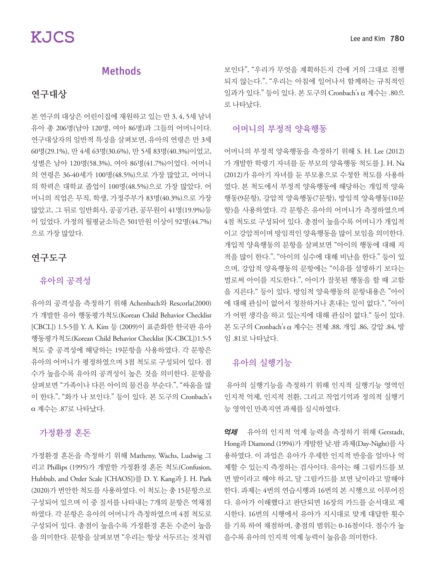## Methods

## 연구대상

본 연구의 대상은 어린이집에 재원하고 있는 만 3, 4, 5세 남녀 유아 총 206명(남아 120명, 여아 86명)과 그들의 어머니이다. 연구대상자의 일반적 특성을 살펴보면, 유아의 연령은 만 3세 60명(29.1%), 만 4세 63명(30.6%), 만 5세 83명(40.3%)이었고, 성별은 남아 120명(58.3%), 여아 86명(41.7%)이었다. 어머니 의 연령은 36-40세가 100명(48.5%)으로 가장 많았고, 어머니 의 학력은 대학교 졸업이 100명(48.5%)으로 가장 많았다. 어 머니의 직업은 무직, 학생, 가정주부가 83명(40.3%)으로 가장 많았고, 그 뒤로 일반회사, 공공기관, 공무원이 41명(19.9%)등 이 있었다. 가정의 월평균소득은 501만원 이상이 92명(44.7%) 으로 가장 많았다.

## 연구도구

### 유아의 공격성

유아의 공격성을 측정하기 위해 Achenbach와 Rescorla(2000) 가 개발한 유아 행동평가척도(Korean Child Behavior Checklist [CBCL]) 1.5-5를 Y. A. Kim 등 (2009)이 표준화한 한국판 유아 행동평가척도(Korean Child Behavior Checklist [K-CBCL])1.5-5 척도 중 공격성에 해당하는 19문항을 사용하였다. 각 문항은 유아의 어머니가 평정하였으며 3점 척도로 구성되어 있다. 점 수가 높을수록 유아의 공격성이 높은 것을 의미한다. 문항을 살펴보면 "가족이나 다른 아이의 물건을 부순다.", "싸움을 많 이 한다.", "화가 나 보인다." 등이 있다. 본 도구의 Cronbach's α 계수는 .87로 나타났다.

## 가정환경 혼돈

가정환경 혼돈을 측정하기 위해 Matheny, Wachs, Ludwig 그 리고 Phillips (1995)가 개발한 가정환경 혼돈 척도(Confusion, Hubbub, and Order Scale [CHAOS])를 D. Y. Kang과 J. H. Park (2020)가 번안한 척도를 사용하였다. 이 척도는 총 15문항으로 구성되어 있으며 이 중 질서를 나타내는 7개의 문항은 역채점 하였다. 각 문항은 유아의 어머니가 측정하였으며 4점 척도로 구성되어 있다. 총점이 높을수록 가정환경 혼돈 수준이 높음 을 의미한다. 문항을 살펴보면 "우리는 항상 서두르는 것처럼 보인다", "우리가 무엇을 계획하든지 간에 거의 그대로 진행 되지 않는다.", "우리는 아침에 일어나서 함께하는 규칙적인 일과가 있다." 등이 있다. 본 도구의 Cronbach's α 계수는 .80으 로 나타났다.

## 어머니의 부정적 양육행동

어머니의 부정적 양육행동을 측정하기 위해 S. H. Lee (2012) 가 개발한 학령기 자녀를 둔 부모의 양육행동 척도를 J. H. Na (2012)가 유아기 자녀를 둔 부모용으로 수정한 척도를 사용하 였다. 본 척도에서 부정적 양육행동에 해당하는 개입적 양육 행동(9문항), 강압적 양육행동(7문항), 방임적 양육행동(10문 항)을 사용하였다. 각 문항은 유아의 어머니가 측정하였으며 4점 척도로 구성되어 있다. 총점이 높을수록 어머니가 개입적 이고 강압적이며 방임적인 양육행동을 많이 보임을 의미한다. 개입적 양육행동의 문항을 살펴보면 "아이의 행동에 대해 지 적을 많이 한다.", "아이의 실수에 대해 비난을 한다." 등이 있 으며, 강압적 양육행동의 문항에는 "이유를 설명하기 보다는 벌로써 아이를 지도한다.", 아이가 잘못된 행동을 할 때 고함 을 지른다." 등이 있다. 방임적 양육행동의 문항내용은 "아이 에 대해 관심이 없어서 칭찬하거나 혼내는 일이 없다.", "아이 가 어떤 생각을 하고 있는지에 대해 관심이 없다." 등이 있다. 본 도구의 Cronbach's α 계수는 전체 .88, 개입 .86, 강압 .84, 방 임 .81로 나타났다.

## 유아의 실행기능

유아의 실행기능을 측정하기 위해 인지적 실행기능 영역인 인지적 억제, 인지적 전환, 그리고 작업기억과 정의적 실행기 능 영역인 만족지연 과제를 실시하였다.

et M 유아의 인지적 억제 능력을 측정하기 위해 Gerstadt, Hong과 Diamond (1994)가 개발한 낮-밤 과제(Day-Night)를 사 용하였다. 이 과업은 유아가 우세한 인지적 반응을 얼마나 억 제할 수 있는지 측정하는 검사이다. 유아는 해 그림카드를 보 면 밤이라고 해야 하고, 달 그림카드를 보면 낮이라고 말해야 한다. 과제는 4번의 연습시행과 16번의 본 시행으로 이루어진 다. 유아가 이해했다고 판단되면 16장의 카드를 순서대로 제 시한다. 16번의 시행에서 유아가 지시대로 맞게 대답한 횟수 를 기록 하여 채점하며, 총점의 범위는 0-16점이다. 점수가 높 을수록 유아의 인지적 억제 능력이 높음을 의미한다.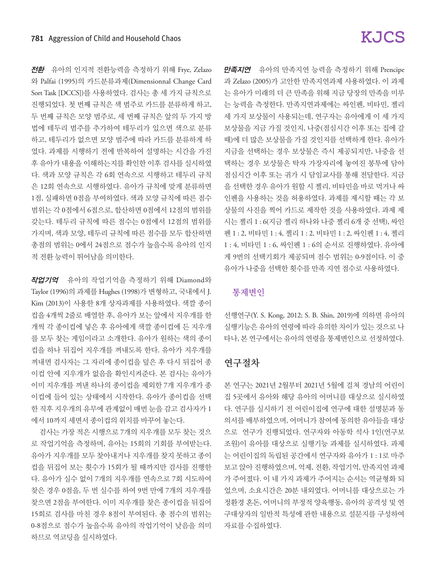전환 유아의 인지적 전환능력을 측정하기 위해 Frye, Zelazo 와 Palfai (1995)의 카드분류과제(Dimensionnal Change Card Sort Task [DCCS])를 사용하였다. 검사는 총 세 가지 규칙으로 진행되었다. 첫 번째 규칙은 색 범주로 카드를 분류하게 하고, 두 번째 규칙은 모양 범주로, 세 번째 규칙은 앞의 두 가지 방 법에 테두리 범주를 추가하여 테두리가 있으면 색으로 분류 하고, 테두리가 없으면 모양 범주에 따라 카드를 분류하게 하 였다. 과제를 시행하기 전에 반복하여 설명하는 시간을 가진 후 유아가 내용을 이해하는지를 확인한 이후 검사를 실시하였 다. 색과 모양 규칙은 각 6회 연속으로 시행하고 테두리 규칙 은 12회 연속으로 시행하였다. 유아가 규칙에 맞게 분류하면 1점, 실패하면 0점을 부여하였다. 색과 모양 규칙에 따른 점수 범위는 각 0점에서 6점으로, 합산하면 0점에서 12점의 범위를 갖는다. 테두리 규칙에 따른 점수는 0점에서 12점의 범위를 가지며, 색과 모양, 테두리 규칙에 따른 점수를 모두 합산하면 총점의 범위는 0에서 24점으로 점수가 높을수록 유아의 인지 적 전환 능력이 뛰어남을 의미한다.

작업기억유아의 작업기억을 측정하기 위해 Diamond와 Taylor (1996)의 과제를 Hughes (1998)가 변형하고, 국내에서 J. Kim (2013)이 사용한 8개 상자과제를 사용하였다. 색깔 종이 컵을 4개씩 2줄로 배열한 후, 유아가 보는 앞에서 지우개를 한 개씩 각 종이컵에 넣은 후 유아에게 색깔 종이컵에 든 지우개 를 모두 찾는 게임이라고 소개한다. 유아가 원하는 색의 종이 컵을 하나 뒤집어 지우개를 꺼내도록 한다. 유아가 지우개를 꺼내면 검사자는 그 자리에 종이컵을 덮은 후 다시 뒤집어 종 이컵 안에 지우개가 없음을 확인시켜준다. 본 검사는 유아가 이미 지우개를 꺼낸 하나의 종이컵을 제외한 7개 지우개가 종 이컵에 들어 있는 상태에서 시작한다. 유아가 종이컵을 선택 한 직후 지우개의 유무에 관계없이 매번 눈을 감고 검사자가 1 에서 10까지 세면서 종이컵의 위치를 바꾸어 놓는다.

검사는 가장 적은 시행으로 7개의 지우개를 모두 찾는 것으 로 작업기억을 측정하며, 유아는 15회의 기회를 부여받는다. 유아가 지우개를 모두 찾아내거나 지우개를 찾지 못하고 종이 컵을 뒤집어 보는 횟수가 15회가 될 때까지만 검사를 진행한 다. 유아가 실수 없이 7개의 지우개를 연속으로 7회 시도하여 찾은 경우 0점을, 두 번 실수를 하여 9번 만에 7개의 지우개를 찾으면 2점을 부여한다. 이미 지우개를 찾은 종이컵을 뒤집어 15회로 검사를 마친 경우 8점이 부여된다. 총 점수의 범위는 0-8점으로 점수가 높을수록 유아의 작업기억이 낮음을 의미 하므로 역코딩을 실시하였다.

# **KJCS**

만족지연유아의 만족지연 능력을 측정하기 위해 Prencipe 과 Zelazo (2005)가 고안한 만족지연과제 사용하였다. 이 과제 는 유아가 미래의 더 큰 만족을 위해 지금 당장의 만족을 미루 는 능력을 측정한다. 만족지연과제에는 싸인펜, 비타민, 젤리 세 가지 보상물이 사용되는데, 연구자는 유아에게 이 세 가지 보상물을 지금 가질 것인지, 나중(점심시간 이후 또는 집에 갈 때)에 더 많은 보상물을 가질 것인지를 선택하게 한다. 유아가 지금을 선택하는 경우 보상물은 즉시 제공되지만, 나중을 선 택하는 경우 보상물은 탁자 가장자리에 놓여진 봉투에 담아 점심시간 이후 또는 귀가 시 담임교사를 통해 전달한다. 지금 을 선택한 경우 유아가 원할 시 젤리, 비타민을 바로 먹거나 싸 인펜을 사용하는 것을 허용하였다. 과제를 제시할 때는 각 보 상물의 사진을 찍어 카드로 제작한 것을 사용하였다. 과제 제 시는 젤리 1 : 6(지금 젤리 하나와 나중 젤리 6개 중 선택), 싸인 펜 1 : 2, 비타민 1 : 4, 젤리 1 : 2, 비타민 1 : 2, 싸인펜 1 : 4, 젤리 1 : 4, 비타민 1 : 6, 싸인펜 1 : 6의 순서로 진행하였다. 유아에 게 9번의 선택기회가 제공되며 점수 범위는 0-9점이다. 이 중 유아가 나중을 선택한 횟수를 만족 지연 점수로 사용하였다.

## 통제변인

선행연구(Y. S. Kong, 2012; S. B. Shin, 2019)에 의하면 유아의 실행기능은 유아의 연령에 따라 유의한 차이가 있는 것으로 나 타나, 본 연구에서는 유아의 연령을 통제변인으로 선정하였다.

## 연구절차

본 연구는 2021년 2월부터 2021년 5월에 걸쳐 경남의 어린이 집 5곳에서 유아와 해당 유아의 어머니를 대상으로 실시하였 다. 연구를 실시하기 전 어린이집에 연구에 대한 설명문과 동 의서를 배부하였으며, 어머니가 참여에 동의한 유아들을 대상 으로 연구가 진행되었다. 연구자와 아동학 석사 1인(연구보 조원)이 유아를 대상으로 실행기능 과제를 실시하였다. 과제 는 어린이집의 독립된 공간에서 연구자와 유아가 1 : 1로 마주 보고 앉아 진행하였으며, 억제, 전환, 작업기억, 만족지연 과제 가 주어졌다. 이 네 가지 과제가 주어지는 순서는 역균형화 되 었으며, 소요시간은 20분 내외였다. 어머니를 대상으로는 가 정환경 혼돈, 어머니의 부정적 양육행동, 유아의 공격성 및 연 구대상자의 일반적 특성에 관한 내용으로 설문지를 구성하여 자료를 수집하였다.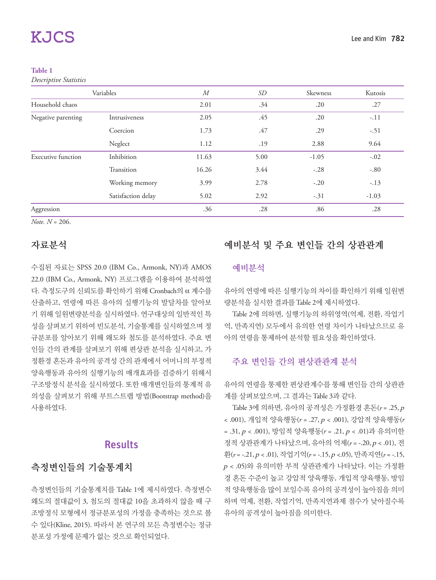#### **Table 1**

*Descriptive Statistics*

|                           | Variables          | M     | SD   | Skewness | Kutosis |
|---------------------------|--------------------|-------|------|----------|---------|
| Household chaos           |                    | 2.01  | .34  | .20      | .27     |
| Negative parenting        | Intrusiveness      | 2.05  | .45  | .20      | $-.11$  |
|                           | Coercion           | 1.73  | .47  | .29      | $-.51$  |
|                           | Neglect            | 1.12  | .19  | 2.88     | 9.64    |
| <b>Executive function</b> | Inhibition         | 11.63 | 5.00 | $-1.05$  | $-.02$  |
|                           | Transition         | 16.26 | 3.44 | $-.28$   | $-.80$  |
|                           | Working memory     | 3.99  | 2.78 | $-.20$   | $-.13$  |
|                           | Satisfaction delay | 5.02  | 2.92 | $-.31$   | $-1.03$ |
| Aggression                |                    | .36   | .28  | .86      | .28     |

*Note. N* = 206.

## 자료분석

수집된 자료는 SPSS 20.0 (IBM Co., Armonk, NY)과 AMOS 22.0 (IBM Co., Armonk, NY) 프로그램을 이용하여 분석하였 다. 측정도구의 신뢰도를 확인하기 위해 Cronbach의 α 계수를 산출하고, 연령에 따른 유아의 실행기능의 발달차를 알아보 기 위해 일원변량분석을 실시하였다. 연구대상의 일반적인 특 성을 살펴보기 위하여 빈도분석, 기술통계를 실시하였으며 정 규분포를 알아보기 위해 왜도와 첨도를 분석하였다. 주요 변 인들 간의 관계를 살펴보기 위해 편상관 분석을 실시하고, 가 정환경 혼돈과 유아의 공격성 간의 관계에서 어머니의 부정적 양육행동과 유아의 실행기능의 매개효과를 검증하기 위해서 구조방정식 분석을 실시하였다. 또한 매개변인들의 통계적 유 의성을 살펴보기 위해 부트스트랩 방법(Bootstrap method)을 사용하였다.

## Results

## 측정변인들의 기술통계치

측정변인들의 기술통계치를 Table 1에 제시하였다. 측정변수 왜도의 절대값이 3, 첨도의 절대값 10을 초과하지 않을 때 구 조방정식 모형에서 정규분포성의 가정을 충족하는 것으로 볼 수 있다(Kline, 2015). 따라서 본 연구의 모든 측정변수는 정규 분포성 가정에 문제가 없는 것으로 확인되었다.

# 예비분석 및 주요 변인들 간의 상관관계

### 예비분석

유아의 연령에 따른 실행기능의 차이를 확인하기 위해 일원변 량분석을 실시한 결과를 Table 2에 제시하였다.

Table 2에 의하면, 실행기능의 하위영역(억제, 전환, 작업기 억, 만족지연) 모두에서 유의한 연령 차이가 나타났으므로 유 아의 연령을 통제하여 분석할 필요성을 확인하였다.

## 주요 변인들 간의 편상관관계 분석

유아의 연령을 통제한 편상관계수를 통해 변인들 간의 상관관 계를 살펴보았으며, 그 결과는 Table 3과 같다.

Table 3에 의하면, 유아의 공격성은 가정환경 혼돈(*r* = .25, <sup>p</sup> < .001), 개입적 양육행동(*r* = .27, p < .001), 강압적 양육행동(*r*  = .31, p < .001), 방임적 양육행동(*r* = .21, p < .01)과 유의미한 정적 상관관계가 나타났으며, 유아의 억제(*r* = -.20, p < .01), 전 환(*r* = -.21, p < .01), 작업기억(*r* = -.15, p <.05), 만족지연(*r* = -.15, <sup>p</sup> < .05)와 유의미한 부적 상관관계가 나타났다. 이는 가정환 경 혼돈 수준이 높고 강압적 양육행동, 개입적 양육행동, 방임 적 양육행동을 많이 보일수록 유아의 공격성이 높아짐을 의미 하며 억제, 전환, 작업기억, 만족지연과제 점수가 낮아질수록 유아의 공격성이 높아짐을 의미한다.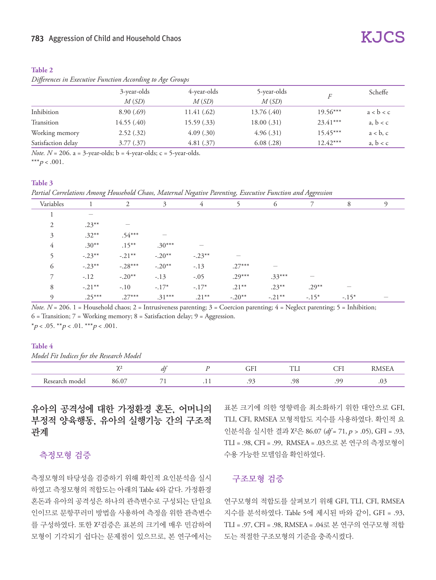#### **Table 2**

### *Differences in Executive Function According to Age Groups*

|                    | 3-year-olds | 4-year-olds | 5-year-olds | F          | Scheffe   |
|--------------------|-------------|-------------|-------------|------------|-----------|
|                    | M(SD)       | M(SD)       | M(SD)       |            |           |
| Inhibition         | 8.90(.69)   | 11.41 (.62) | 13.76 (.40) | $19.56***$ | a < b < c |
| Transition         | 14.55(.40)  | 15.59(.33)  | 18.00(.31)  | $23.41***$ | a, b < c  |
| Working memory     | 2.52(.32)   | 4.09(.30)   | 4.96(.31)   | $15.45***$ | a < b, c  |
| Satisfaction delay | 3.77(.37)   | 4.81(.37)   | 6.08(.28)   | $12.42***$ | a, b < c  |

*Note.*  $N = 206$ .  $a = 3$ -year-olds;  $b = 4$ -year-olds;  $c = 5$ -year-olds.

\*\*\* $p < .001$ .

#### **Table 3**

*Partial Correlations Among Household Chaos, Maternal Negative Parenting, Executive Function and Aggression*

| Variables |                                 | 2         | 3        | 4                               |          | 6         |         | 8                                       | $\Omega$ |
|-----------|---------------------------------|-----------|----------|---------------------------------|----------|-----------|---------|-----------------------------------------|----------|
|           | $\hspace{0.1mm}-\hspace{0.1mm}$ |           |          |                                 |          |           |         |                                         |          |
| 2         | $.23***$                        | $-$       |          |                                 |          |           |         |                                         |          |
| 3         | $.32***$                        | $.54***$  |          |                                 |          |           |         |                                         |          |
| 4         | $.30**$                         | $.15***$  | $.30***$ | $\hspace{0.1mm}-\hspace{0.1mm}$ |          |           |         |                                         |          |
|           | $-.23***$                       | $-.21***$ | $-.20**$ | $-.23***$                       |          |           |         |                                         |          |
| 6         | $-.23***$                       | $-.28***$ | $-.20**$ | $-.13$                          | $.27***$ |           |         |                                         |          |
|           | $-.12$                          | $-.20**$  | $-.13$   | $-.05$                          | $.29***$ | $.33***$  |         |                                         |          |
| 8         | $-.21***$                       | $-.10$    | $-.17*$  | $-.17*$                         | $.21***$ | $.23***$  | $.29**$ | $\hspace{1.0cm} \overline{\phantom{0}}$ |          |
| $\Omega$  | $.25***$                        | $.27***$  | $.31***$ | $.21***$                        | $-.20**$ | $-.21***$ | $-.15*$ | $-.15*$                                 |          |

*Note. N* = 206. 1 = Household chaos; 2 = Intrusiveness parenting; 3 = Coercion parenting; 4 = Neglect parenting; 5 = Inhibition; 6 = Transition; 7 = Working memory; 8 = Satisfaction delay; 9 = Aggression. \*p < .05. \*\*p < .01. \*\*\*p < .001.

#### **Table 4**

```
Model Fit Indices for the Research Model
```

|                                                       | $\sim$ | ,,                       | $\overline{\phantom{0}}$ | ۔۔۔۔<br>--- | - - |         |
|-------------------------------------------------------|--------|--------------------------|--------------------------|-------------|-----|---------|
| $\overline{\phantom{a}}$<br>$\sim$ $\sim$ $\sim$<br>. |        | $\overline{\phantom{a}}$ |                          | ገር          | റ   | $\cdot$ |

유아의 공격성에 대한 가정환경 혼돈, 어머니의 부정적 양육행동, 유아의 실행기능 간의 구조적 관계

## 측정모형 검증

측정모형의 타당성을 검증하기 위해 확인적 요인분석을 실시 하였고 측정모형의 적합도는 아래의 Table 4와 같다. 가정환경 혼돈과 유아의 공격성은 하나의 관측변수로 구성되는 단일요 인이므로 문항꾸러미 방법을 사용하여 측정을 위한 관측변수 를 구성하였다. 또한 χ²검증은 표본의 크기에 매우 민감하여 모형이 기각되기 쉽다는 문제점이 있으므로, 본 연구에서는

표본 크기에 의한 영향력을 최소화하기 위한 대안으로 GFI, TLI, CFI, RMSEA 모형적합도 지수를 사용하였다. 확인적 요 인분석을 실시한 결과 χ²은 86.07 (*df* = 71, p > .05), GFI = .93, TLI = .98, CFI = .99, RMSEA = .03으로 본 연구의 측정모형이 수용 가능한 모델임을 확인하였다.

## 구조모형 검증

연구모형의 적합도를 살펴보기 위해 GFI, TLI, CFI, RMSEA 지수를 분석하였다. Table 5에 제시된 바와 같이, GFI = .93, TLI = .97, CFI = .98, RMSEA = .04로 본 연구의 연구모형 적합 도는 적절한 구조모형의 기준을 충족시켰다.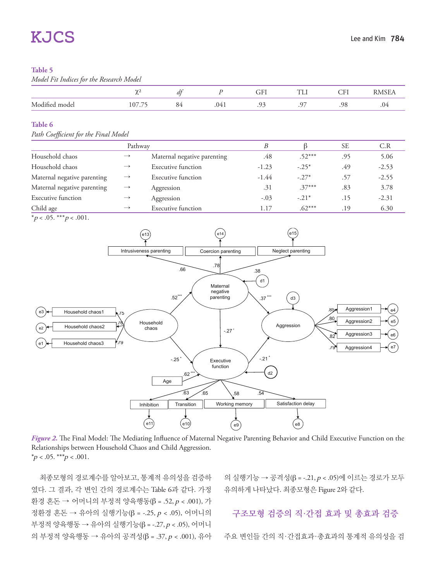#### **Table 5**

*Model Fit Indices for the Research Model*

|                   | $\sim$                     | ∽  |      | ---<br>UГ.         | —<br>.           | $\cap$ TT<br>ິ |         |
|-------------------|----------------------------|----|------|--------------------|------------------|----------------|---------|
| Modified<br>model | $\sim$<br>107<br>$\cdot$ / | ັ້ | TTU. | Ωq<br>. <i>. .</i> | $\sim$ $-$<br>., | .98            | $\cdot$ |

#### **Table 6**

#### **Path Coefficient for the Final Model**

|                             | Pathway       |                             |         |          | <b>SE</b> | C.R     |
|-----------------------------|---------------|-----------------------------|---------|----------|-----------|---------|
| Household chaos             | $\rightarrow$ | Maternal negative parenting | .48     | $.52***$ | .95       | 5.06    |
| Household chaos             | $\rightarrow$ | Executive function          | $-1.23$ | $-.25*$  | .49       | $-2.53$ |
| Maternal negative parenting | $\rightarrow$ | Executive function          | $-1.44$ | $-.27*$  | .57       | $-2.55$ |
| Maternal negative parenting | $\rightarrow$ | Aggression                  | .31     | $.37***$ | .83       | 3.78    |
| <b>Executive function</b>   | $\rightarrow$ | Aggression                  | $-.03$  | $-.21*$  | .15       | $-2.31$ |
| Child age                   | $\rightarrow$ | <b>Executive function</b>   | 1.17    | $.62***$ | .19       | 6.30    |





*Figure 2*. The Final Model: The Mediating Influence of Maternal Negative Parenting Behavior and Child Executive Function on the Relationships between Household Chaos and Child Aggression.  $*_{p}$  < .05. \*\*\*  $p$  < .001.

최종모형의 경로계수를 알아보고, 통계적 유의성을 검증하 였다. 그 결과, 각 변인 간의 경로계수는 Table 6과 같다. 가정 환경 혼돈 → 어머니의 부정적 양육행동(β = .52, p < .001), 가 정환경 혼돈 → 유아의 실행기능(β = -.25, p < .05), 어머니의 부정적 양육행동 → 유아의 실행기능(β = -.27, p < .05), 어머니 의 부정적 양육행동 → 유아의 공격성(β = .37, p < .001), 유아 의 실행기능 → 공격성(β = -.21, p < .05)에 이르는 경로가 모두 유의하게 나타났다. 최종모형은 Figure 2와 같다.

구조모형 검증의 직·간접 효과 및 총효과 검증

주요 변인들 간의 직·간접효과·총효과의 통계적 유의성을 검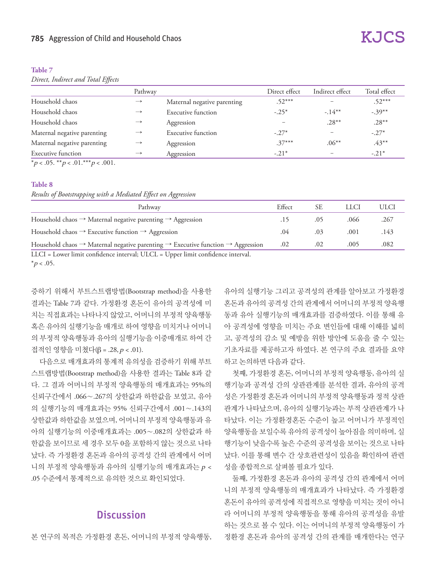| . |  |  |
|---|--|--|

*Direct, Indirect and Total Effects* 

|                             | Pathway       |                             | Direct effect | Indirect effect          | Total effect |
|-----------------------------|---------------|-----------------------------|---------------|--------------------------|--------------|
| Household chaos             | $\rightarrow$ | Maternal negative parenting | $.52***$      |                          | $.52***$     |
| Household chaos             | $\rightarrow$ | <b>Executive function</b>   | $-.25*$       | $-.14***$                | $-.39***$    |
| Household chaos             | $\rightarrow$ | Aggression                  |               | $.28***$                 | $.28***$     |
| Maternal negative parenting | $\rightarrow$ | <b>Executive function</b>   | $-.27*$       |                          | $-.27*$      |
| Maternal negative parenting | $\rightarrow$ | Aggression                  | $.37***$      | $.06***$                 | $.43***$     |
| Executive function          | $\rightarrow$ | Aggression                  | $-.21*$       | $\overline{\phantom{0}}$ | $-.21*$      |

\*p < .05. \*\*p < .01.\*\*\*p < .001.

#### **Table 8**

*Results of Bootstrapping with a Mediated Effect on Aggression*

| Pathway                                                                                                             | Effect | <b>SE</b> |      | ULCI |
|---------------------------------------------------------------------------------------------------------------------|--------|-----------|------|------|
| Household chaos $\rightarrow$ Maternal negative parenting $\rightarrow$ Aggression                                  |        |           | .066 | .267 |
| Household chaos $\rightarrow$ Executive function $\rightarrow$ Aggression                                           | .04    | .03       | .001 | 143  |
| Household chaos $\rightarrow$ Maternal negative parenting $\rightarrow$ Executive function $\rightarrow$ Aggression | .02    | .02       | .005 | .082 |
| <b>******</b>                                                                                                       |        |           |      |      |

LLCI = Lower limit confidence interval; ULCL = Upper limit confidence interval.

 $*_{p < .05}$ .

증하기 위해서 부트스트랩방법(Bootstrap method)을 사용한 결과는 Table 7과 같다. 가정환경 혼돈이 유아의 공격성에 미 치는 직접효과는 나타나지 않았고, 어머니의 부정적 양육행동 혹은 유아의 실행기능을 매개로 하여 영향을 미치거나 어머니 의 부정적 양육행동과 유아의 실행기능을 이중매개로 하여 간 접적인 영향을 미쳤다(β = .28, p < .01).

다음으로 매개효과의 통계적 유의성을 검증하기 위해 부트 스트랩방법(Bootstrap method)을 사용한 결과는 Table 8과 같 다. 그 결과 어머니의 부정적 양육행동의 매개효과는 95%의 신뢰구간에서 .066∼.267의 상한값과 하한값을 보였고, 유아 의 실행기능의 매개효과는 95% 신뢰구간에서 .001∼.143의 상한값과 하한값을 보였으며, 어머니의 부정적 양육행동과 유 아의 실행기능의 이중매개효과는 .005∼.082의 상한값과 하 한값을 보이므로 세 경우 모두 0을 포함하지 않는 것으로 나타 났다. 즉 가정환경 혼돈과 유아의 공격성 간의 관계에서 어머 니의 부정적 양육행동과 유아의 실행기능의 매개효과는 <sup>p</sup> < .05 수준에서 통계적으로 유의한 것으로 확인되었다.

## **Discussion**

본 연구의 목적은 가정환경 혼돈, 어머니의 부정적 양육행동,

유아의 실행기능 그리고 공격성의 관계를 알아보고 가정환경 혼돈과 유아의 공격성 간의 관계에서 어머니의 부정적 양육행 동과 유아 실행기능의 매개효과를 검증하였다. 이를 통해 유 아 공격성에 영향을 미치는 주요 변인들에 대해 이해를 넓히 고, 공격성의 감소 및 예방을 위한 방안에 도움을 줄 수 있는 기초자료를 제공하고자 하였다. 본 연구의 주요 결과를 요약 하고 논의하면 다음과 같다.

첫째, 가정환경 혼돈, 어머니의 부정적 양육행동, 유아의 실 행기능과 공격성 간의 상관관계를 분석한 결과, 유아의 공격 성은 가정환경 혼돈과 어머니의 부정적 양육행동과 정적 상관 관계가 나타났으며, 유아의 실행기능과는 부적 상관관계가 나 타났다. 이는 가정환경혼돈 수준이 높고 어머니가 부정적인 양육행동을 보일수록 유아의 공격성이 높아짐을 의미하며, 실 행기능이 낮을수록 높은 수준의 공격성을 보이는 것으로 나타 났다. 이를 통해 변수 간 상호관련성이 있음을 확인하여 관련 성을 종합적으로 살펴볼 필요가 있다.

둘째, 가정환경 혼돈과 유아의 공격성 간의 관계에서 어머 니의 부정적 양육행동의 매개효과가 나타났다. 즉 가정환경 혼돈이 유아의 공격성에 직접적으로 영향을 미치는 것이 아니 라 어머니의 부정적 양육행동을 통해 유아의 공격성을 유발 하는 것으로 볼 수 있다. 이는 어머니의 부정적 양육행동이 가 정환경 혼돈과 유아의 공격성 간의 관계를 매개한다는 연구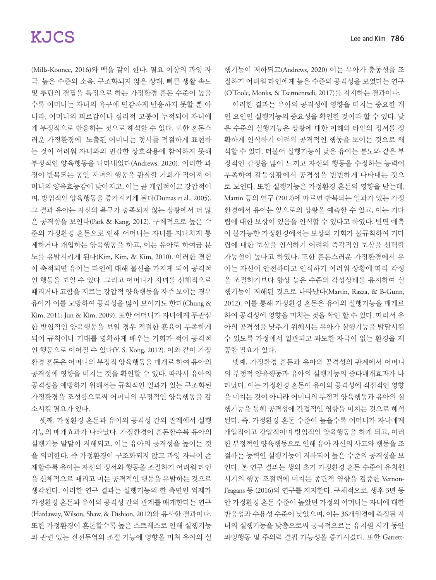(Mills-Koonce, 2016)와 맥을 같이 한다. 필요 이상의 과잉 자 극, 높은 수준의 소음, 구조화되지 않은 상태, 빠른 생활 속도 및 루틴의 결핍을 특징으로 하는 가정환경 혼돈 수준이 높을 수록 어머니는 자녀의 욕구에 민감하게 반응하지 못할 뿐 아 니라, 어머니의 피로감이나 심리적 고통이 누적되어 자녀에 게 부정적으로 반응하는 것으로 해석할 수 있다. 또한 혼돈스 러운 가정환경에 노출된 어머니는 정서를 적절하게 표현하 는 것이 어려워 자녀와의 민감한 상호작용에 참여하지 못해 부정적인 양육행동을 나타내었다(Andrews, 2020). 이러한 과 정이 반복되는 동안 자녀의 행동을 관찰할 기회가 적어져 어 머니의 양육효능감이 낮아지고, 이는 곧 개입적이고 강압적이 며, 방임적인 양육행동을 증가시키게 된다(Dumas et al., 2005). 그 결과 유아는 자신의 욕구가 충족되지 않는 상황에서 더 많 은 공격성을 보인다(Park & Kang, 2012). 구체적으로 높은 수 준의 가정환경 혼돈으로 인해 어머니는 자녀를 지나치게 통 제하거나 개입하는 양육행동을 하고, 이는 유아로 하여금 분 노를 유발시키게 된다(Kim, Kim, & Kim, 2010). 이러한 경험 이 축적되면 유아는 타인에 대해 불신을 가지게 되어 공격적 인 행동을 보일 수 있다. 그리고 어머니가 자녀를 신체적으로 때리거나 고함을 지르는 강압적 양육행동을 자주 보이는 경우 유아가 이를 모방하여 공격성을 많이 보이기도 한다(Chung & Kim, 2011; Jun & Kim, 2009). 또한 어머니가 자녀에게 무관심 한 방임적인 양육행동을 보일 경우 적절한 훈육이 부족하게 되어 규칙이나 기대를 명확하게 배우는 기회가 적어 공격적 인 행동으로 이어질 수 있다(Y. S. Kong, 2012). 이와 같이 가정 환경 혼돈은 어머니의 부정적 양육행동을 매개로 하여 유아의 공격성에 영향을 미치는 것을 확인할 수 있다. 따라서 유아의 공격성을 예방하기 위해서는 규칙적인 일과가 있는 구조화된 가정환경을 조성함으로써 어머니의 부정적인 양육행동을 감 소시킬 필요가 있다.

셋째, 가정환경 혼돈과 유아의 공격성 간의 관계에서 실행 기능의 매개효과가 나타났다. 가정환경이 혼돈할수록 유아의 실행기능 발달이 저해되고, 이는 유아의 공격성을 높이는 것 을 의미한다. 즉 가정환경이 구조화되지 않고 과잉 자극이 존 재할수록 유아는 자신의 정서와 행동을 조절하기 어려워 타인 을 신체적으로 때리고 미는 공격적인 행동을 유발하는 것으로 생각된다. 이러한 연구 결과는 실행기능의 한 측면인 억제가 가정환경 혼돈과 유아의 공격성 간의 관계를 매개한다는 연구 (Hardaway, Wilson, Shaw, & Dishion, 2012)와 유사한 결과이다. 또한 가정환경이 혼돈할수록 높은 스트레스로 인해 실행기능 과 관련 있는 전전두엽의 조절 기능에 영향을 미쳐 유아의 실

행기능이 저하되고(Andrews, 2020) 이는 유아가 충동성을 조 절하기 어려워 타인에게 높은 수준의 공격성을 보였다는 연구 (O'Toole, Monks, & Tsermentseli, 2017)를 지지하는 결과이다.

이러한 결과는 유아의 공격성에 영향을 미치는 중요한 개 인 요인인 실행기능의 중요성을 확인한 것이라 할 수 있다. 낮 은 수준의 실행기능은 상황에 대한 이해와 타인의 정서를 정 확하게 인식하기 어려워 공격적인 행동을 보이는 것으로 해 석할 수 있다. 더불어 실행기능이 낮은 유아는 분노와 같은 부 정적인 감정을 많이 느끼고 자신의 행동을 수정하는 능력이 부족하여 갈등상황에서 공격성을 빈번하게 나타내는 것으 로 보인다. 또한 실행기능은 가정환경 혼돈의 영향을 받는데, Martin 등의 연구 (2012)에 따르면 반복되는 일과가 있는 가정 환경에서 유아는 앞으로의 상황을 예측할 수 있고, 이는 기다 림에 대한 보상이 있음을 인식할 수 있다고 하였다. 반면 예측 이 불가능한 가정환경에서는 보상의 기회가 불규칙하여 기다 림에 대한 보상을 인식하기 어려워 즉각적인 보상을 선택할 가능성이 높다고 하였다. 또한 혼돈스러운 가정환경에서 유 아는 자신이 안전하다고 인식하기 어려워 상황에 따라 각성 을 조절하기보다 항상 높은 수준의 각성상태를 유지하여 실 행기능이 저해된 것으로 나타났다(Martin, Razza, & B-Gunn, 2012). 이를 통해 가정환경 혼돈은 유아의 실행기능을 매개로 하여 공격성에 영향을 미치는 것을 확인 할 수 있다. 따라서 유 아의 공격성을 낮추기 위해서는 유아가 실행기능을 발달시킬 수 있도록 가정에서 일관되고 과도한 자극이 없는 환경을 제 공할 필요가 있다.

넷째, 가정환경 혼돈과 유아의 공격성의 관계에서 어머니 의 부정적 양육행동과 유아의 실행기능의 중다매개효과가 나 타났다. 이는 가정환경 혼돈이 유아의 공격성에 직접적인 영향 을 미치는 것이 아니라 어머니의 부정적 양육행동과 유아의 실 행기능을 통해 공격성에 간접적인 영향을 미치는 것으로 해석 된다. 즉, 가정환경 혼돈 수준이 높을수록 어머니가 자녀에게 개입적이고 강압적이며 방임적인 양육행동을 하게 되고, 이러 한 부정적인 양육행동으로 인해 유아 자신의 사고와 행동을 조 절하는 능력인 실행기능이 저하되어 높은 수준의 공격성을 보 인다. 본 연구 결과는 생의 초기 가정환경 혼돈 수준이 유치원 시기의 행동 조절력에 미치는 종단적 영향을 검증한 Vernon-Feagans 등 (2016)의 연구를 지지한다. 구체적으로, 생후 3년 동 안 가정환경 혼돈 수준이 높았던 가정의 어머니는 자녀에 대한 반응성과 수용성 수준이 낮았으며, 이는 36개월경에 측정된 자 녀의 실행기능을 낮춤으로써 궁극적으로는 유치원 시기 동안 과잉행동 및 주의력 결핍 가능성을 증가시켰다. 또한 Garrett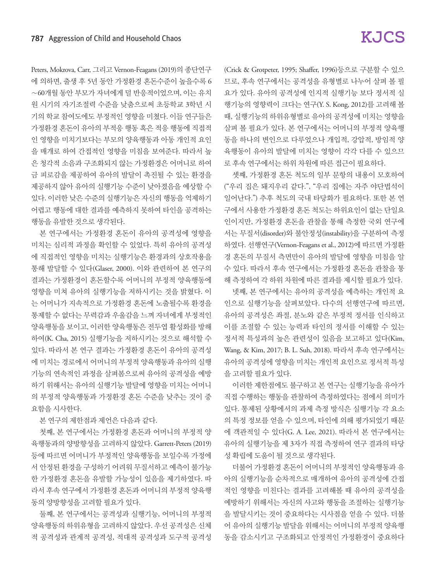Peters, Mokrova, Carr, 그리고 Vernon-Feagans (2019)의 종단연구 에 의하면, 출생 후 5년 동안 가정환경 혼돈수준이 높을수록 6 ∼60개월 동안 부모가 자녀에게 덜 반응적이었으며, 이는 유치 원 시기의 자기조절력 수준을 낮춤으로써 초등학교 3학년 시 기의 학교 참여도에도 부정적인 영향을 미쳤다. 이들 연구들은 가정환경 혼돈이 유아의 부적응 행동 혹은 적응 행동에 직접적 인 영향을 미치기보다는 부모의 양육행동과 아동 개인적 요인 을 매개로 하여 간접적인 영향을 미침을 보여준다. 따라서 높 은 청각적 소음과 구조화되지 않는 가정환경은 어머니로 하여 금 피로감을 제공하여 유아의 발달이 촉진될 수 있는 환경을 제공하지 않아 유아의 실행기능 수준이 낮아졌음을 예상할 수 있다. 이러한 낮은 수준의 실행기능은 자신의 행동을 억제하기 어렵고 행동에 대한 결과를 예측하지 못하여 타인을 공격하는 행동을 유발한 것으로 생각된다.

본 연구에서는 가정환경 혼돈이 유아의 공격성에 영향을 미치는 심리적 과정을 확인할 수 있었다. 특히 유아의 공격성 에 직접적인 영향을 미치는 실행기능은 환경과의 상호작용을 통해 발달할 수 있다(Glaser, 2000). 이와 관련하여 본 연구의 결과는 가정환경이 혼돈할수록 어머니의 부정적 양육행동에 영향을 미쳐 유아의 실행기능을 저하시키는 것을 밝혔다. 이 는 어머니가 지속적으로 가정환경 혼돈에 노출될수록 환경을 통제할 수 없다는 무력감과 우울감을 느껴 자녀에게 부정적인 양육행동을 보이고, 이러한 양육행동은 전두엽 활성화를 방해 하여(K. Cha, 2015) 실행기능을 저하시키는 것으로 해석할 수 있다. 따라서 본 연구 결과는 가정환경 혼돈이 유아의 공격성 에 미치는 경로에서 어머니의 부정적 양육행동과 유아의 실행 기능의 연속적인 과정을 살펴봄으로써 유아의 공격성을 예방 하기 위해서는 유아의 실행기능 발달에 영향을 미치는 어머니 의 부정적 양육행동과 가정환경 혼돈 수준을 낮추는 것이 중 요함을 시사한다.

본 연구의 제한점과 제언은 다음과 같다.

첫째, 본 연구에서는 가정환경 혼돈과 어머니의 부정적 양 육행동과의 양방향성을 고려하지 않았다. Garrett-Peters (2019) 등에 따르면 어머니가 부정적인 양육행동을 보일수록 가정에 서 안정된 환경을 구성하기 어려워 무질서하고 예측이 불가능 한 가정환경 혼돈을 유발할 가능성이 있음을 제기하였다. 따 라서 후속 연구에서 가정환경 혼돈과 어머니의 부정적 양육행 동의 양방향성을 고려할 필요가 있다.

둘째, 본 연구에서는 공격성과 실행기능, 어머니의 부정적 양육행동의 하위유형을 고려하지 않았다. 우선 공격성은 신체 적 공격성과 관계적 공격성, 적대적 공격성과 도구적 공격성 (Crick & Grotpeter, 1995; Shaffer, 1996)등으로 구분할 수 있으 므로, 후속 연구에서는 공격성을 유형별로 나누어 살펴 볼 필 요가 있다. 유아의 공격성에 인지적 실행기능 보다 정서적 실 행기능의 영향력이 크다는 연구(Y. S. Kong, 2012)를 고려해 볼 때, 실행기능의 하위유형별로 유아의 공격성에 미치는 영향을 살펴 볼 필요가 있다. 본 연구에서는 어머니의 부정적 양육행 동을 하나의 변인으로 다루었으나 개입적, 강압적, 방임적 양 육행동이 유아의 발달에 미치는 영향이 각각 다를 수 있으므 로 후속 연구에서는 하위 차원에 따른 접근이 필요하다.

셋째, 가정환경 혼돈 척도의 일부 문항의 내용이 모호하여 ("우리 집은 돼지우리 같다.", "우리 집에는 자주 야단법석이 일어난다.") 추후 척도의 국내 타당화가 필요하다. 또한 본 연 구에서 사용한 가정환경 혼돈 척도는 하위요인이 없는 단일요 인이지만, 가정환경 혼돈을 관찰을 통해 측정한 국외 연구에 서는 무질서(disorder)와 불안정성(instability)을 구분하여 측정 하였다. 선행연구(Vernon-Feagans et al., 2012)에 따르면 가정환 경 혼돈의 무질서 측면만이 유아의 발달에 영향을 미침을 알 수 있다. 따라서 후속 연구에서는 가정환경 혼돈을 관찰을 통 해 측정하여 각 하위 차원에 따른 결과를 제시할 필요가 있다.

넷째, 본 연구에서는 유아의 공격성을 예측하는 개인적 요 인으로 실행기능을 살펴보았다. 다수의 선행연구에 따르면, 유아의 공격성은 좌절, 분노와 같은 부정적 정서를 인식하고 이를 조절할 수 있는 능력과 타인의 정서를 이해할 수 있는 정서적 특성과의 높은 관련성이 있음을 보고하고 있다(Kim, Wang, & Kim, 2017; B. L. Suh, 2018). 따라서 후속 연구에서는 유아의 공격성에 영향을 미치는 개인적 요인으로 정서적 특성 을 고려할 필요가 있다.

이러한 제한점에도 불구하고 본 연구는 실행기능을 유아가 직접 수행하는 행동을 관찰하여 측정하였다는 점에서 의미가 있다. 통제된 상황에서의 과제 측정 방식은 실행기능 각 요소 의 특정 정보를 얻을 수 있으며, 타인에 의해 평가되었기 때문 에 객관적일 수 있다(G. A. Lee, 2021). 따라서 본 연구에서는 유아의 실행기능을 제 3자가 직접 측정하여 연구 결과의 타당 성 확립에 도움이 될 것으로 생각된다.

더불어 가정환경 혼돈이 어머니의 부정적인 양육행동과 유 아의 실행기능을 순차적으로 매개하여 유아의 공격성에 간접 적인 영향을 미친다는 결과를 고려해볼 때 유아의 공격성을 예방하기 위해서는 자신의 사고와 행동을 조절하는 실행기능 을 발달시키는 것이 중요하다는 시사점을 얻을 수 있다. 더불 어 유아의 실행기능 발달을 위해서는 어머니의 부정적 양육행 동을 감소시키고 구조화되고 안정적인 가정환경이 중요하다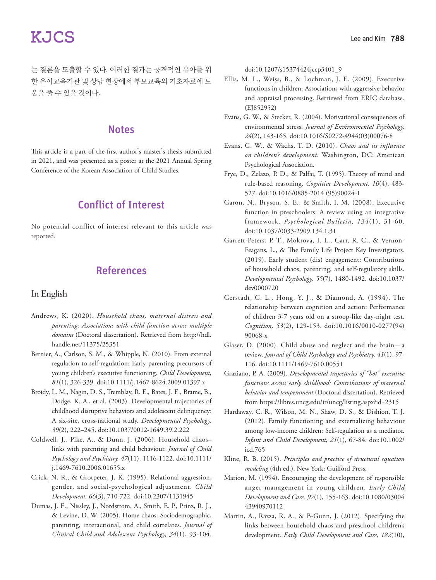는 결론을 도출할 수 있다. 이러한 결과는 공격적인 유아를 위 한 유아교육기관 및 상담 현장에서 부모교육의 기초자료에 도 움을 줄 수 있을 것이다.

## **Notes**

This article is a part of the first author's master's thesis submitted in 2021, and was presented as a poster at the 2021 Annual Spring Conference of the Korean Association of Child Studies.

# Conflict of Interest

No potential conflict of interest relevant to this article was reported.

# References

### In English

- Andrews, K. (2020). *Household chaos, maternal distress and parenting: Associations with child function across multiple domains* (Doctoral dissertation). Retrieved from http://hdl. handle.net/11375/25351
- Bernier, A., Carlson, S. M., & Whipple, N. (2010). From external regulation to self‐regulation: Early parenting precursors of young children's executive functioning. *Child Development, 81*(1), 326-339. doi:10.1111/j.1467-8624.2009.01397.x
- Broidy, L. M., Nagin, D. S., Tremblay, R. E., Bates, J. E., Brame, B., Dodge, K. A., et al. (2003). Developmental trajectories of childhood disruptive behaviors and adolescent delinquency: A six-site, cross-national study. *Developmental Psychology, 39*(2), 222–245. doi:10.1037/0012-1649.39.2.222
- Coldwell, J., Pike, A., & Dunn, J. (2006). Household chaos– links with parenting and child behaviour. *Journal of Child Psychology and Psychiatry, 47*(11), 1116-1122. doi:10.1111/ j.1469-7610.2006.01655.x
- Crick, N. R., & Grotpeter, J. K. (1995). Relational aggression, gender, and social-psychological adjustment. *Child Development, 66*(3), 710-722. doi:10.2307/1131945
- Dumas, J. E., Nissley, J., Nordstrom, A., Smith, E. P., Prinz, R. J., & Levine, D. W. (2005). Home chaos: Sociodemographic, parenting, interactional, and child correlates. *Journal of Clinical Child and Adolescent Psychology, 34*(1), 93-104.

doi:10.1207/s15374424jccp3401\_9

- Ellis, M. L., Weiss, B., & Lochman, J. E. (2009). Executive functions in children: Associations with aggressive behavior and appraisal processing. Retrieved from ERIC database. (EJ852952)
- Evans, G. W., & Stecker, R. (2004). Motivational consequences of environmental stress. *Journal of Environmental Psychology, 24*(2), 143-165. doi:10.1016/S0272-4944(03)00076-8
- Evans, G. W., & Wachs, T. D. (2010). *Chaos and its influence on children's development.* Washington, DC: American Psychological Association.
- Frye, D., Zelazo, P. D., & Palfai, T. (1995). Theory of mind and rule-based reasoning. *Cognitive Development, 10*(4), 483- 527. doi:10.1016/0885-2014 (95)90024-1
- Garon, N., Bryson, S. E., & Smith, I. M. (2008). Executive function in preschoolers: A review using an integrative framework. *Psychological Bulletin, 134*(1), 31-60. doi:10.1037/0033-2909.134.1.31
- Garrett-Peters, P. T., Mokrova, I. L., Carr, R. C., & Vernon-Feagans, L., & The Family Life Project Key Investigators. (2019). Early student (dis) engagement: Contributions of household chaos, parenting, and self-regulatory skills. *Developmental Psychology, 55*(7), 1480-1492. doi:10.1037/ dev0000720
- Gerstadt, C. L., Hong, Y. J., & Diamond, A. (1994). The relationship between cognition and action: Performance of children 3-7 years old on a stroop-like day-night test. *Cognition, 53*(2), 129-153. doi:10.1016/0010-0277(94) 90068-x
- Glaser, D. (2000). Child abuse and neglect and the brain—a review. *Journal of Child Psychology and Psychiatry, 41*(1), 97- 116. doi:10.1111/1469-7610.00551
- Graziano, P. A. (2009). *Developmental trajectories of "hot" executive functions across early childhood: Contributions of maternal behavior and temperament.*(Doctoral dissertation). Retrieved from https://libres.uncg.edu/ir/uncg/listing.aspx?id=2315
- Hardaway, C. R., Wilson, M. N., Shaw, D. S., & Dishion, T. J. (2012). Family functioning and externalizing behaviour among low‐income children: Self‐regulation as a mediator. *Infant and Child Development, 21*(1), 67-84. doi:10.1002/ icd.765
- Kline, R. B. (2015). *Principles and practice of structural equation modeling* (4th ed.). New York: Guilford Press.
- Marion, M. (1994). Encouraging the development of responsible anger management in young children. *Early Child Development and Care, 97*(1), 155-163. doi:10.1080/03004 43940970112
- Martin, A., Razza, R. A., & B-Gunn, J. (2012). Specifying the links between household chaos and preschool children's development. *Early Child Development and Care, 182*(10),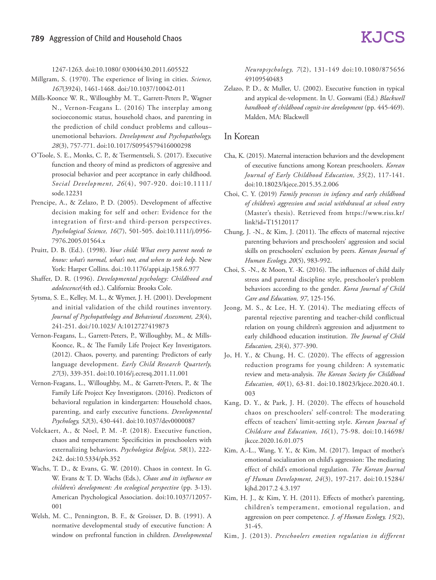1247-1263. doi:10.1080/ 03004430.2011.605522

- Millgram, S. (1970). The experience of living in cities. *Science, 167*(3924), 1461-1468. doi:/10.1037/10042-011
- Mills-Koonce W. R., Willoughby M. T., Garrett-Peters P., Wagner N., Vernon-Feagans L. (2016) The interplay among socioeconomic status, household chaos, and parenting in the prediction of child conduct problems and callous– unemotional behaviors. *Development and Psychopathology, 28*(3), 757-771. doi:10.1017/S0954579416000298
- O'Toole, S. E., Monks, C. P., & Tsermentseli, S. (2017). Executive function and theory of mind as predictors of aggressive and prosocial behavior and peer acceptance in early childhood. *Social Development, 26*(4), 907-920. doi:10.1111/ sode.12231
- Prencipe, A., & Zelazo, P. D. (2005). Development of affective decision making for self and other: Evidence for the integration of first-and third-person perspectives. *Psychological Science, 16*(7), 501-505. doi:10.1111/j.0956- 7976.2005.01564.x
- Pruitt, D. B. (Ed.). (1998). *Your child: What every parent needs to know: what's normal, what's not, and when to seek help.* New York: Harper Collins. doi.:10.1176/appi.ajp.158.6.977
- Shaffer, D. R. (1996). *Developmental psychology: Childhood and adolescence*(4th ed.). California: Brooks Cole.
- Sytsma, S. E., Kelley, M. L., & Wymer, J. H. (2001). Development and initial validation of the child routines inventory. *Journal of Psychopathology and Behavioral Assessment, 23*(4), 241-251. doi:/10.1023/ A:1012727419873
- Vernon-Feagans, L., Garrett-Peters, P., Willoughby, M., & Mills-Koonce, R., & The Family Life Project Key Investigators. (2012). Chaos, poverty, and parenting: Predictors of early language development. *Early Child Research Quarterly, 27*(3), 339-351. doi:10.1016/j.ecresq.2011.11.001
- Vernon-Feagans, L., Willoughby, M., & Garrett-Peters, P., & The Family Life Project Key Investigators. (2016). Predictors of behavioral regulation in kindergarten: Household chaos, parenting, and early executive functions. *Developmental Psychology, 52*(3), 430-441. doi:10.1037/dev0000087
- Volckaert, A., & Noel, P. M. -P. (2018). Executive function, chaos and temperament: Specificities in preschoolers with externalizing behaviors. *Psychologica Belgica, 58*(1), 222- 242. doi:10.5334/pb.352
- Wachs, T. D., & Evans, G. W. (2010). Chaos in context. In G. W. Evans & T. D. Wachs (Eds.), *Chaos and its influence on children's development: An ecological perspective* (pp. 3-13). American Psychological Association. doi:10.1037/12057- 001
- Welsh, M. C., Pennington, B. F., & Groisser, D. B. (1991). A normative developmental study of executive function: A window on prefrontal function in children. *Developmental*

*Neuropsychology, 7*(2), 131-149 doi:10.1080/875656 49109540483

Zelazo, P. D., & Muller, U. (2002). Executive function in typical and atypical de-velopment. In U. Goswami (Ed.) *Blackwell handbook of childhood cognit-ive development* (pp. 445-469). Malden, MA: Blackwell

### In Korean

- Cha, K. (2015). Maternal interaction behaviors and the development of executive functions among Korean preschoolers. *Korean Journal of Early Childhood Education, 35*(2), 117-141. doi:10.18023/kjece.2015.35.2.006
- Choi, C. Y. (2019) *Family processes in infancy and early childhood of children's aggression and social withdrawal at school entry*  (Master's thesis). Retrieved from https://www.riss.kr/ link?id=T15120117
- Chung, J. -N., & Kim, J. (2011). The effects of maternal rejective parenting behaviors and preschoolers' aggression and social skills on preschoolers' exclusion by peers. *Korean Journal of Human Ecology, 20*(5), 983-992.
- Choi, S. -N., & Moon, Y. -K. (2016). The influences of child daily stress and parental discipline style, preschooler's problem behaviors according to the gender. *Korea Journal of Child Care and Education, 97*, 125-156.
- Jeong, M. S., & Lee, H. Y. (2014). The mediating effects of parental rejective parenting and teacher-child conflictual relation on young children's aggression and adjustment to early childhood education institution. *The Journal of Child Education, 23*(4), 377-390.
- Jo, H. Y., & Chung, H. C. (2020). The effects of aggression reduction programs for young children: A systematic review and meta-analysis. *The Korean Society for Childhood Education, 40*(1), 63-81. doi:10.18023/kjece.2020.40.1. 003
- Kang, D. Y., & Park, J. H. (2020). The effects of household chaos on preschoolers' self-control: The moderating effects of teachers' limit-setting style. *Korean Journal of Childcare and Education, 16*(1), 75-98. doi:10.14698/ jkcce.2020.16.01.075
- Kim, A.-L., Wang, Y. Y., & Kim, M. (2017). Impact of mother's emotional socialization on child's aggression: The mediating effect of child's emotional regulation. *The Korean Journal of Human Development, 24*(3), 197-217. doi:10.15284/ kjhd.2017.2 4.3.197
- Kim, H. J., & Kim, Y. H. (2011). Effects of mother's parenting, children's temperament, emotional regulation, and aggression on peer competence. *J. of Human Ecology, 15*(2), 31-45.
- Kim, J. (2013). *Preschoolers emotion regulation in different*